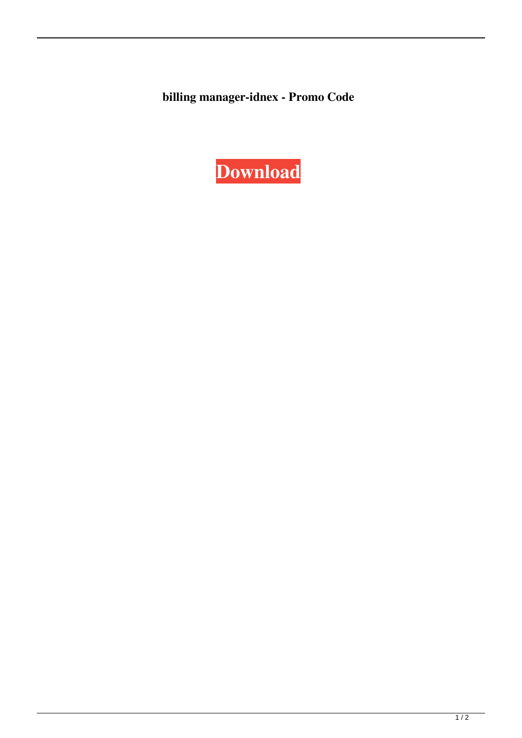**billing manager-idnex - Promo Code**